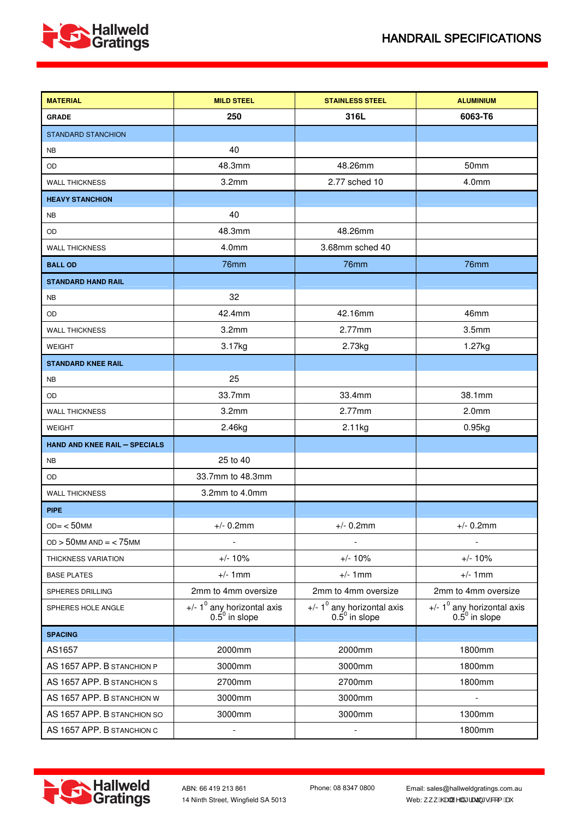



| <b>MATERIAL</b>                      | <b>MILD STEEL</b>                                 | <b>STAINLESS STEEL</b>                                       | <b>ALUMINIUM</b>                                           |
|--------------------------------------|---------------------------------------------------|--------------------------------------------------------------|------------------------------------------------------------|
| <b>GRADE</b>                         | 250                                               | 316L                                                         | 6063-T6                                                    |
| <b>STANDARD STANCHION</b>            |                                                   |                                                              |                                                            |
| <b>NB</b>                            | 40                                                |                                                              |                                                            |
| OD                                   | 48.3mm                                            | 48.26mm                                                      | 50 <sub>mm</sub>                                           |
| <b>WALL THICKNESS</b>                | 3.2 <sub>mm</sub>                                 | 2.77 sched 10                                                | 4.0mm                                                      |
| <b>HEAVY STANCHION</b>               |                                                   |                                                              |                                                            |
| <b>NB</b>                            | 40                                                |                                                              |                                                            |
| OD                                   | 48.3mm                                            | 48.26mm                                                      |                                                            |
| <b>WALL THICKNESS</b>                | 4.0mm                                             | 3.68mm sched 40                                              |                                                            |
| <b>BALL OD</b>                       | 76mm                                              | 76mm                                                         | 76mm                                                       |
| <b>STANDARD HAND RAIL</b>            |                                                   |                                                              |                                                            |
| <b>NB</b>                            | 32                                                |                                                              |                                                            |
| OD                                   | 42.4mm                                            | 42.16mm                                                      | 46mm                                                       |
| <b>WALL THICKNESS</b>                | 3.2mm                                             | $2.77$ mm                                                    | 3.5 <sub>mm</sub>                                          |
| <b>WEIGHT</b>                        | 3.17kg                                            | 2.73kg                                                       | 1.27kg                                                     |
| <b>STANDARD KNEE RAIL</b>            |                                                   |                                                              |                                                            |
| <b>NB</b>                            | 25                                                |                                                              |                                                            |
| OD                                   | 33.7mm                                            | 33.4mm                                                       | 38.1mm                                                     |
| <b>WALL THICKNESS</b>                | 3.2 <sub>mm</sub>                                 | $2.77$ mm                                                    | 2.0 <sub>mm</sub>                                          |
| <b>WEIGHT</b>                        | 2.46kg                                            | 2.11kg                                                       | 0.95kg                                                     |
| <b>HAND AND KNEE RAIL - SPECIALS</b> |                                                   |                                                              |                                                            |
| <b>NB</b>                            | 25 to 40                                          |                                                              |                                                            |
| OD                                   | 33.7mm to 48.3mm                                  |                                                              |                                                            |
| <b>WALL THICKNESS</b>                | 3.2mm to 4.0mm                                    |                                                              |                                                            |
| <b>PIPE</b>                          |                                                   |                                                              |                                                            |
| $OD = < 50$ MM                       | $+/- 0.2$ mm                                      | $+/- 0.2$ mm                                                 | $+/- 0.2$ mm                                               |
| $OD > 50$ MM $AND = < 75$ MM         |                                                   |                                                              |                                                            |
| THICKNESS VARIATION                  | $+/- 10%$                                         | $+/- 10%$                                                    | $+/- 10%$                                                  |
| <b>BASE PLATES</b>                   | $+/- 1$ mm                                        | $+/- 1mm$                                                    | $+/- 1mm$                                                  |
| SPHERES DRILLING                     | 2mm to 4mm oversize                               | 2mm to 4mm oversize                                          | 2mm to 4mm oversize                                        |
| SPHERES HOLE ANGLE                   | +/- $1^0$ any horizontal axis<br>$0.5^0$ in slope | +/- $1^0$ any horizontal axis<br>$0.\overline{5}^0$ in slope | +/- $1^0$ any horizontal axis<br>0.5 <sup>0</sup> in slope |
| <b>SPACING</b>                       |                                                   |                                                              |                                                            |
| AS1657                               | 2000mm                                            | 2000mm                                                       | 1800mm                                                     |
| AS 1657 APP. B STANCHION P           | 3000mm                                            | 3000mm                                                       | 1800mm                                                     |
| AS 1657 APP. B STANCHION S           | 2700mm                                            | 2700mm                                                       | 1800mm                                                     |
| AS 1657 APP. B STANCHION W           | 3000mm                                            | 3000mm                                                       |                                                            |
| AS 1657 APP. B STANCHION SO          | 3000mm                                            | 3000mm                                                       | 1300mm                                                     |
| AS 1657 APP. B STANCHION C           | $\overline{a}$                                    |                                                              | 1800mm                                                     |



Email: sales@hallweldgratings.com.au Web:,,, EZZAH, ^|å\* | æzzj \* • BZ { Eze